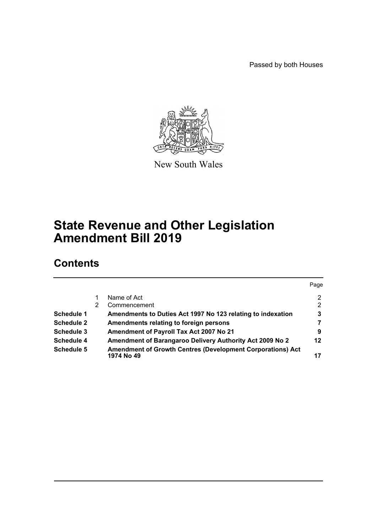Passed by both Houses



New South Wales

# **State Revenue and Other Legislation Amendment Bill 2019**

# **Contents**

|                   |   |                                                                          | Page |
|-------------------|---|--------------------------------------------------------------------------|------|
|                   |   | Name of Act                                                              | 2    |
|                   | 2 | Commencement                                                             | 2    |
| Schedule 1        |   | Amendments to Duties Act 1997 No 123 relating to indexation              | 3    |
| <b>Schedule 2</b> |   | Amendments relating to foreign persons                                   |      |
| Schedule 3        |   | Amendment of Payroll Tax Act 2007 No 21                                  | 9    |
| Schedule 4        |   | Amendment of Barangaroo Delivery Authority Act 2009 No 2                 | 12   |
| Schedule 5        |   | Amendment of Growth Centres (Development Corporations) Act<br>1974 No 49 | 17   |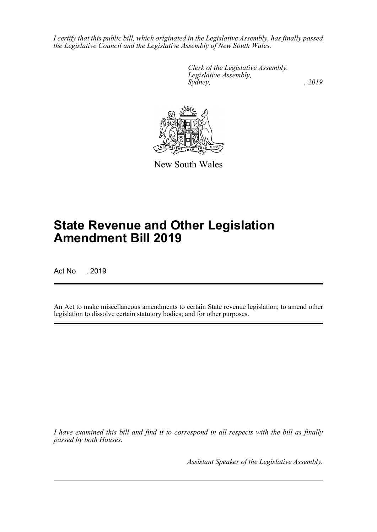*I certify that this public bill, which originated in the Legislative Assembly, has finally passed the Legislative Council and the Legislative Assembly of New South Wales.*

> *Clerk of the Legislative Assembly. Legislative Assembly, Sydney,* , 2019



New South Wales

# **State Revenue and Other Legislation Amendment Bill 2019**

Act No , 2019

An Act to make miscellaneous amendments to certain State revenue legislation; to amend other legislation to dissolve certain statutory bodies; and for other purposes.

*I have examined this bill and find it to correspond in all respects with the bill as finally passed by both Houses.*

*Assistant Speaker of the Legislative Assembly.*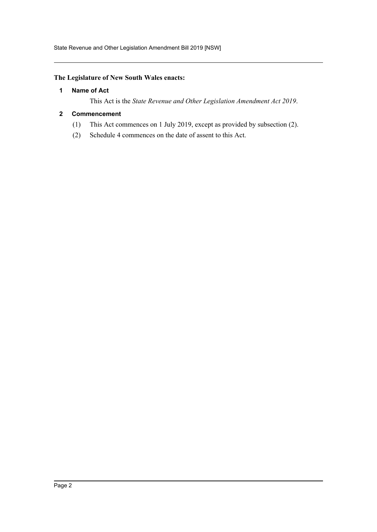#### <span id="page-2-0"></span>**The Legislature of New South Wales enacts:**

#### **1 Name of Act**

This Act is the *State Revenue and Other Legislation Amendment Act 2019*.

#### <span id="page-2-1"></span>**2 Commencement**

- (1) This Act commences on 1 July 2019, except as provided by subsection (2).
- (2) Schedule 4 commences on the date of assent to this Act.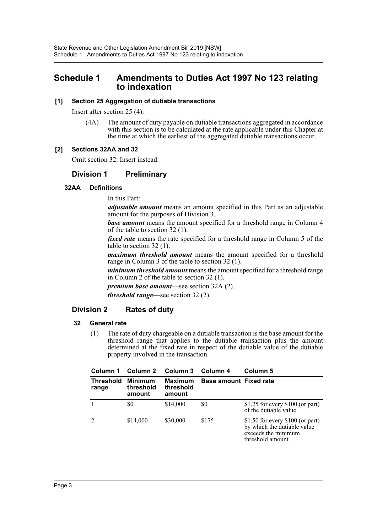## <span id="page-3-0"></span>**Schedule 1 Amendments to Duties Act 1997 No 123 relating to indexation**

#### **[1] Section 25 Aggregation of dutiable transactions**

Insert after section 25 (4):

(4A) The amount of duty payable on dutiable transactions aggregated in accordance with this section is to be calculated at the rate applicable under this Chapter at the time at which the earliest of the aggregated dutiable transactions occur.

#### **[2] Sections 32AA and 32**

Omit section 32. Insert instead:

## **Division 1 Preliminary**

#### **32AA Definitions**

In this Part:

*adjustable amount* means an amount specified in this Part as an adjustable amount for the purposes of Division 3.

*base amount* means the amount specified for a threshold range in Column 4 of the table to section 32 (1).

*fixed rate* means the rate specified for a threshold range in Column 5 of the table to section 32 (1).

*maximum threshold amount* means the amount specified for a threshold range in Column 3 of the table to section 32 (1).

*minimum threshold amount* means the amount specified for a threshold range in Column 2 of the table to section 32 (1).

*premium base amount*—see section 32A (2). *threshold range*—see section 32 (2).

## **Division 2 Rates of duty**

#### **32 General rate**

(1) The rate of duty chargeable on a dutiable transaction is the base amount for the threshold range that applies to the dutiable transaction plus the amount determined at the fixed rate in respect of the dutiable value of the dutiable property involved in the transaction.

| Column 1                  | Column 2                              | Column 3                       | Column 4                      | Column 5                                                                                                    |
|---------------------------|---------------------------------------|--------------------------------|-------------------------------|-------------------------------------------------------------------------------------------------------------|
| <b>Threshold</b><br>range | <b>Minimum</b><br>threshold<br>amount | Maximum<br>threshold<br>amount | <b>Base amount Fixed rate</b> |                                                                                                             |
|                           | \$0                                   | \$14,000                       | \$0                           | $$1.25$ for every $$100$ (or part)<br>of the dutiable value                                                 |
| $\overline{2}$            | \$14,000                              | \$30,000                       | \$175                         | \$1.50 for every $$100$ (or part)<br>by which the dutiable value<br>exceeds the minimum<br>threshold amount |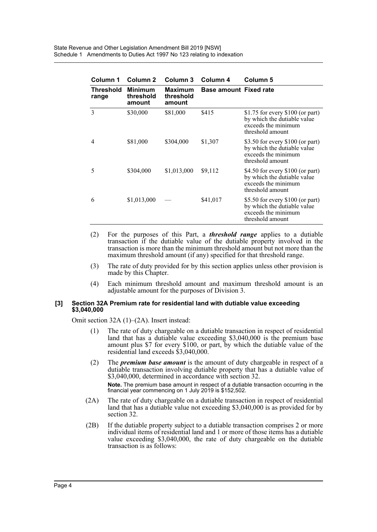| Column 1           | Column 2                              | Column 3                       | Column 4                      | Column 5                                                                                                    |
|--------------------|---------------------------------------|--------------------------------|-------------------------------|-------------------------------------------------------------------------------------------------------------|
| Threshold<br>range | <b>Minimum</b><br>threshold<br>amount | Maximum<br>threshold<br>amount | <b>Base amount Fixed rate</b> |                                                                                                             |
| 3                  | \$30,000                              | \$81,000                       | \$415                         | \$1.75 for every $$100$ (or part)<br>by which the dutiable value<br>exceeds the minimum<br>threshold amount |
| 4                  | \$81,000                              | \$304,000                      | \$1,307                       | \$3.50 for every \$100 (or part)<br>by which the dutiable value<br>exceeds the minimum<br>threshold amount  |
| 5                  | \$304,000                             | \$1,013,000                    | \$9,112                       | \$4.50 for every \$100 (or part)<br>by which the dutiable value<br>exceeds the minimum<br>threshold amount  |
| 6                  | \$1,013,000                           |                                | \$41,017                      | \$5.50 for every \$100 (or part)<br>by which the dutiable value<br>exceeds the minimum<br>threshold amount  |

- (2) For the purposes of this Part, a *threshold range* applies to a dutiable transaction if the dutiable value of the dutiable property involved in the transaction is more than the minimum threshold amount but not more than the maximum threshold amount (if any) specified for that threshold range.
- (3) The rate of duty provided for by this section applies unless other provision is made by this Chapter.
- (4) Each minimum threshold amount and maximum threshold amount is an adjustable amount for the purposes of Division 3.

#### **[3] Section 32A Premium rate for residential land with dutiable value exceeding \$3,040,000**

Omit section 32A (1)–(2A). Insert instead:

- (1) The rate of duty chargeable on a dutiable transaction in respect of residential land that has a dutiable value exceeding \$3,040,000 is the premium base amount plus \$7 for every \$100, or part, by which the dutiable value of the residential land exceeds \$3,040,000.
- (2) The *premium base amount* is the amount of duty chargeable in respect of a dutiable transaction involving dutiable property that has a dutiable value of \$3,040,000, determined in accordance with section 32.

**Note.** The premium base amount in respect of a dutiable transaction occurring in the financial year commencing on 1 July 2019 is \$152,502.

- (2A) The rate of duty chargeable on a dutiable transaction in respect of residential land that has a dutiable value not exceeding \$3,040,000 is as provided for by section 32.
- (2B) If the dutiable property subject to a dutiable transaction comprises 2 or more individual items of residential land and 1 or more of those items has a dutiable value exceeding \$3,040,000, the rate of duty chargeable on the dutiable transaction is as follows: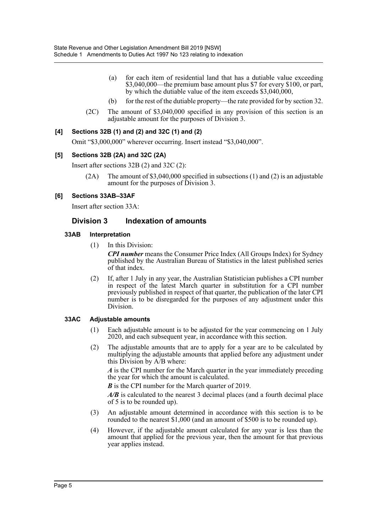- (a) for each item of residential land that has a dutiable value exceeding \$3,040,000—the premium base amount plus \$7 for every \$100, or part, by which the dutiable value of the item exceeds \$3,040,000,
- (b) for the rest of the dutiable property—the rate provided for by section 32.
- (2C) The amount of \$3,040,000 specified in any provision of this section is an adjustable amount for the purposes of Division 3.

#### **[4] Sections 32B (1) and (2) and 32C (1) and (2)**

Omit "\$3,000,000" wherever occurring. Insert instead "\$3,040,000".

#### **[5] Sections 32B (2A) and 32C (2A)**

Insert after sections 32B (2) and 32C (2):

(2A) The amount of \$3,040,000 specified in subsections (1) and (2) is an adjustable amount for the purposes of Division 3.

#### **[6] Sections 33AB–33AF**

Insert after section 33A:

#### **Division 3 Indexation of amounts**

#### **33AB Interpretation**

(1) In this Division:

*CPI number* means the Consumer Price Index (All Groups Index) for Sydney published by the Australian Bureau of Statistics in the latest published series of that index.

(2) If, after 1 July in any year, the Australian Statistician publishes a CPI number in respect of the latest March quarter in substitution for a CPI number previously published in respect of that quarter, the publication of the later CPI number is to be disregarded for the purposes of any adjustment under this Division.

#### **33AC Adjustable amounts**

- (1) Each adjustable amount is to be adjusted for the year commencing on 1 July 2020, and each subsequent year, in accordance with this section.
- (2) The adjustable amounts that are to apply for a year are to be calculated by multiplying the adjustable amounts that applied before any adjustment under this Division by A/B where:

*A* is the CPI number for the March quarter in the year immediately preceding the year for which the amount is calculated.

*B* is the CPI number for the March quarter of 2019.

*A/B* is calculated to the nearest 3 decimal places (and a fourth decimal place of 5 is to be rounded up).

- (3) An adjustable amount determined in accordance with this section is to be rounded to the nearest \$1,000 (and an amount of \$500 is to be rounded up).
- (4) However, if the adjustable amount calculated for any year is less than the amount that applied for the previous year, then the amount for that previous year applies instead.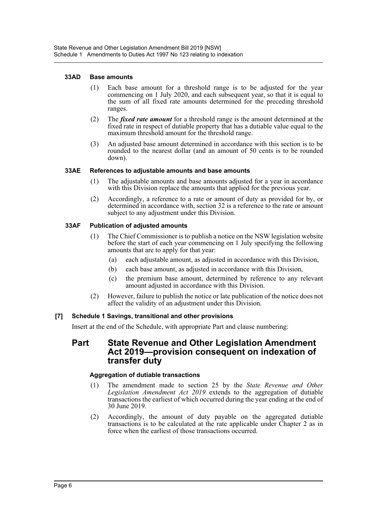#### **33AD Base amounts**

- (1) Each base amount for a threshold range is to be adjusted for the year commencing on 1 July 2020, and each subsequent year, so that it is equal to the sum of all fixed rate amounts determined for the preceding threshold ranges.
- (2) The *fixed rate amount* for a threshold range is the amount determined at the fixed rate in respect of dutiable property that has a dutiable value equal to the maximum threshold amount for the threshold range.
- (3) An adjusted base amount determined in accordance with this section is to be rounded to the nearest dollar (and an amount of 50 cents is to be rounded down).

#### **33AE References to adjustable amounts and base amounts**

- (1) The adjustable amounts and base amounts adjusted for a year in accordance with this Division replace the amounts that applied for the previous year.
- (2) Accordingly, a reference to a rate or amount of duty as provided for by, or determined in accordance with, section 32 is a reference to the rate or amount subject to any adjustment under this Division.

#### **33AF Publication of adjusted amounts**

- (1) The Chief Commissioner is to publish a notice on the NSW legislation website before the start of each year commencing on 1 July specifying the following amounts that are to apply for that year:
	- (a) each adjustable amount, as adjusted in accordance with this Division,
	- (b) each base amount, as adjusted in accordance with this Division,
	- (c) the premium base amount, determined by reference to any relevant amount adjusted in accordance with this Division.
- (2) However, failure to publish the notice or late publication of the notice does not affect the validity of an adjustment under this Division.

#### **[7] Schedule 1 Savings, transitional and other provisions**

Insert at the end of the Schedule, with appropriate Part and clause numbering:

## **Part State Revenue and Other Legislation Amendment Act 2019—provision consequent on indexation of transfer duty**

#### **Aggregation of dutiable transactions**

- (1) The amendment made to section 25 by the *State Revenue and Other Legislation Amendment Act 2019* extends to the aggregation of dutiable transactions the earliest of which occurred during the year ending at the end of 30 June 2019.
- (2) Accordingly, the amount of duty payable on the aggregated dutiable transactions is to be calculated at the rate applicable under Chapter 2 as in force when the earliest of those transactions occurred.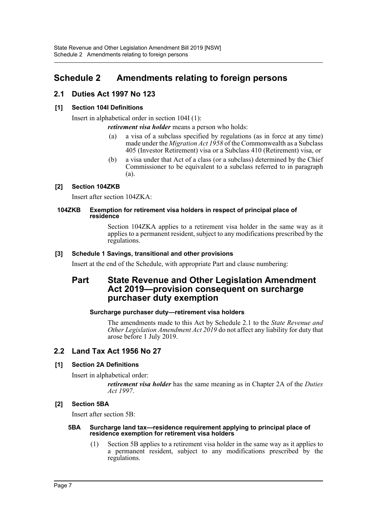## <span id="page-7-0"></span>**Schedule 2 Amendments relating to foreign persons**

## **2.1 Duties Act 1997 No 123**

#### **[1] Section 104I Definitions**

Insert in alphabetical order in section 104I (1):

*retirement visa holder* means a person who holds:

- (a) a visa of a subclass specified by regulations (as in force at any time) made under the *Migration Act 1958* of the Commonwealth as a Subclass 405 (Investor Retirement) visa or a Subclass 410 (Retirement) visa, or
- (b) a visa under that Act of a class (or a subclass) determined by the Chief Commissioner to be equivalent to a subclass referred to in paragraph (a).

#### **[2] Section 104ZKB**

Insert after section 104ZKA:

#### **104ZKB Exemption for retirement visa holders in respect of principal place of residence**

Section 104ZKA applies to a retirement visa holder in the same way as it applies to a permanent resident, subject to any modifications prescribed by the regulations.

#### **[3] Schedule 1 Savings, transitional and other provisions**

Insert at the end of the Schedule, with appropriate Part and clause numbering:

## **Part State Revenue and Other Legislation Amendment Act 2019—provision consequent on surcharge purchaser duty exemption**

#### **Surcharge purchaser duty—retirement visa holders**

The amendments made to this Act by Schedule 2.1 to the *State Revenue and Other Legislation Amendment Act 2019* do not affect any liability for duty that arose before 1 July 2019.

## **2.2 Land Tax Act 1956 No 27**

#### **[1] Section 2A Definitions**

Insert in alphabetical order:

*retirement visa holder* has the same meaning as in Chapter 2A of the *Duties Act 1997*.

#### **[2] Section 5BA**

Insert after section 5B:

#### **5BA Surcharge land tax—residence requirement applying to principal place of residence exemption for retirement visa holders**

(1) Section 5B applies to a retirement visa holder in the same way as it applies to a permanent resident, subject to any modifications prescribed by the regulations.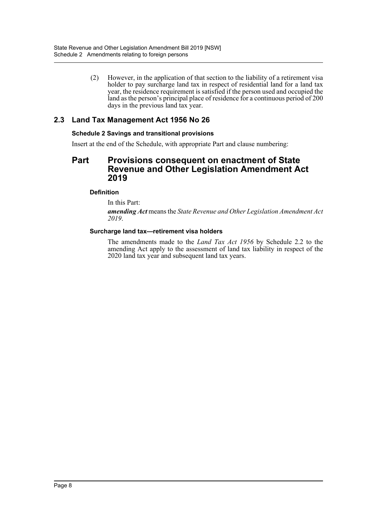(2) However, in the application of that section to the liability of a retirement visa holder to pay surcharge land tax in respect of residential land for a land tax year, the residence requirement is satisfied if the person used and occupied the land as the person's principal place of residence for a continuous period of 200 days in the previous land tax year.

## **2.3 Land Tax Management Act 1956 No 26**

#### **Schedule 2 Savings and transitional provisions**

Insert at the end of the Schedule, with appropriate Part and clause numbering:

## **Part Provisions consequent on enactment of State Revenue and Other Legislation Amendment Act 2019**

#### **Definition**

In this Part:

*amending Act* means the *State Revenue and Other Legislation Amendment Act 2019*.

#### **Surcharge land tax—retirement visa holders**

The amendments made to the *Land Tax Act 1956* by Schedule 2.2 to the amending Act apply to the assessment of land tax liability in respect of the 2020 land tax year and subsequent land tax years.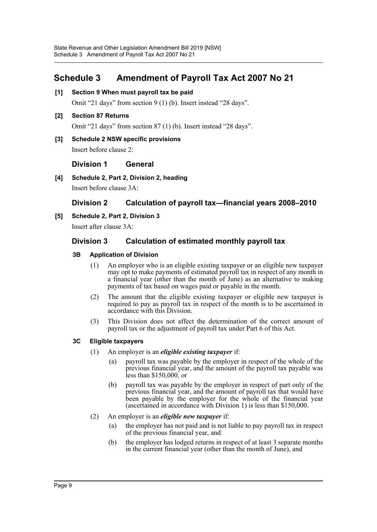## <span id="page-9-0"></span>**Schedule 3 Amendment of Payroll Tax Act 2007 No 21**

**[1] Section 9 When must payroll tax be paid**

Omit "21 days" from section 9 (1) (b). Insert instead "28 days".

**[2] Section 87 Returns**

Omit "21 days" from section 87 (1) (b). Insert instead "28 days".

**[3] Schedule 2 NSW specific provisions**

Insert before clause 2:

**Division 1 General**

**[4] Schedule 2, Part 2, Division 2, heading**

Insert before clause 3A:

## **Division 2 Calculation of payroll tax—financial years 2008–2010**

**[5] Schedule 2, Part 2, Division 3**

Insert after clause 3A:

#### **Division 3 Calculation of estimated monthly payroll tax**

#### **3B Application of Division**

- (1) An employer who is an eligible existing taxpayer or an eligible new taxpayer may opt to make payments of estimated payroll tax in respect of any month in a financial year (other than the month of June) as an alternative to making payments of tax based on wages paid or payable in the month.
- (2) The amount that the eligible existing taxpayer or eligible new taxpayer is required to pay as payroll tax in respect of the month is to be ascertained in accordance with this Division.
- (3) This Division does not affect the determination of the correct amount of payroll tax or the adjustment of payroll tax under Part 6 of this Act.

#### **3C Eligible taxpayers**

- (1) An employer is an *eligible existing taxpayer* if:
	- (a) payroll tax was payable by the employer in respect of the whole of the previous financial year, and the amount of the payroll tax payable was less than \$150,000, or
	- (b) payroll tax was payable by the employer in respect of part only of the previous financial year, and the amount of payroll tax that would have been payable by the employer for the whole of the financial year (ascertained in accordance with Division 1) is less than \$150,000.
- (2) An employer is an *eligible new taxpayer* if:
	- (a) the employer has not paid and is not liable to pay payroll tax in respect of the previous financial year, and
	- (b) the employer has lodged returns in respect of at least 3 separate months in the current financial year (other than the month of June), and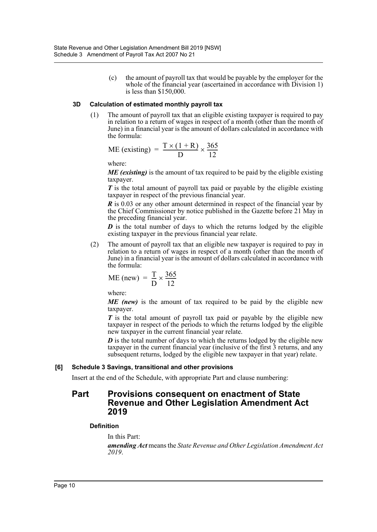(c) the amount of payroll tax that would be payable by the employer for the whole of the financial year (ascertained in accordance with Division 1) is less than \$150,000.

#### **3D Calculation of estimated monthly payroll tax**

(1) The amount of payroll tax that an eligible existing taxpayer is required to pay in relation to a return of wages in respect of a month (other than the month of June) in a financial year is the amount of dollars calculated in accordance with the formula:

$$
ME (existing) = \frac{T \times (1 + R)}{D} \times \frac{365}{12}
$$

where:

*ME (existing)* is the amount of tax required to be paid by the eligible existing taxpayer.

*T* is the total amount of payroll tax paid or payable by the eligible existing taxpayer in respect of the previous financial year.

*R* is 0.03 or any other amount determined in respect of the financial year by the Chief Commissioner by notice published in the Gazette before 21 May in the preceding financial year.

*D* is the total number of days to which the returns lodged by the eligible existing taxpayer in the previous financial year relate.

(2) The amount of payroll tax that an eligible new taxpayer is required to pay in relation to a return of wages in respect of a month (other than the month of June) in a financial year is the amount of dollars calculated in accordance with the formula:

$$
ME (new) = \frac{T}{D} \times \frac{365}{12}
$$

where:

*ME (new)* is the amount of tax required to be paid by the eligible new taxpayer.

*T* is the total amount of payroll tax paid or payable by the eligible new taxpayer in respect of the periods to which the returns lodged by the eligible new taxpayer in the current financial year relate.

*D* is the total number of days to which the returns lodged by the eligible new taxpayer in the current financial year (inclusive of the first 3 returns, and any subsequent returns, lodged by the eligible new taxpayer in that year) relate.

#### **[6] Schedule 3 Savings, transitional and other provisions**

Insert at the end of the Schedule, with appropriate Part and clause numbering:

## **Part Provisions consequent on enactment of State Revenue and Other Legislation Amendment Act 2019**

#### **Definition**

In this Part:

*amending Act* means the *State Revenue and Other Legislation Amendment Act 2019*.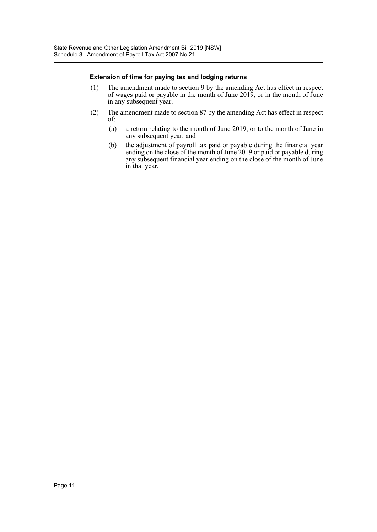#### **Extension of time for paying tax and lodging returns**

- (1) The amendment made to section 9 by the amending Act has effect in respect of wages paid or payable in the month of June 2019, or in the month of June in any subsequent year.
- (2) The amendment made to section 87 by the amending Act has effect in respect of:
	- (a) a return relating to the month of June 2019, or to the month of June in any subsequent year, and
	- (b) the adjustment of payroll tax paid or payable during the financial year ending on the close of the month of June 2019 or paid or payable during any subsequent financial year ending on the close of the month of June in that year.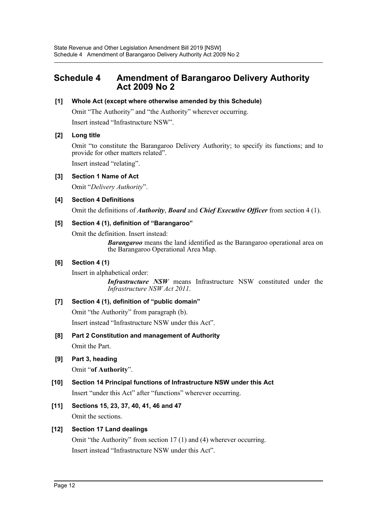## <span id="page-12-0"></span>**Schedule 4 Amendment of Barangaroo Delivery Authority Act 2009 No 2**

#### **[1] Whole Act (except where otherwise amended by this Schedule)**

Omit "The Authority" and "the Authority" wherever occurring.

Insert instead "Infrastructure NSW".

#### **[2] Long title**

Omit "to constitute the Barangaroo Delivery Authority; to specify its functions; and to provide for other matters related".

Insert instead "relating".

#### **[3] Section 1 Name of Act**

Omit "*Delivery Authority*".

#### **[4] Section 4 Definitions**

Omit the definitions of *Authority*, *Board* and *Chief Executive Officer* from section 4 (1).

#### **[5] Section 4 (1), definition of "Barangaroo"**

Omit the definition. Insert instead:

*Barangaroo* means the land identified as the Barangaroo operational area on the Barangaroo Operational Area Map.

#### **[6] Section 4 (1)**

Insert in alphabetical order:

*Infrastructure NSW* means Infrastructure NSW constituted under the *Infrastructure NSW Act 2011*.

#### **[7] Section 4 (1), definition of "public domain"**

Omit "the Authority" from paragraph (b).

Insert instead "Infrastructure NSW under this Act".

## **[8] Part 2 Constitution and management of Authority**

Omit the Part.

#### **[9] Part 3, heading**

Omit "**of Authority**".

- **[10] Section 14 Principal functions of Infrastructure NSW under this Act** Insert "under this Act" after "functions" wherever occurring.
- **[11] Sections 15, 23, 37, 40, 41, 46 and 47** Omit the sections.

#### **[12] Section 17 Land dealings**

Omit "the Authority" from section 17 (1) and (4) wherever occurring. Insert instead "Infrastructure NSW under this Act".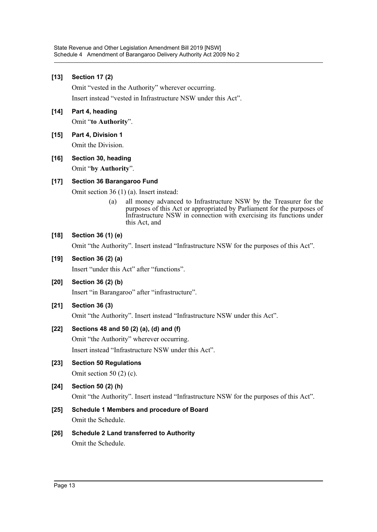#### **[13] Section 17 (2)**

Omit "vested in the Authority" wherever occurring.

Insert instead "vested in Infrastructure NSW under this Act".

- **[14] Part 4, heading** Omit "**to Authority**".
- **[15] Part 4, Division 1** Omit the Division.

#### **[16] Section 30, heading**

Omit "**by Authority**".

#### **[17] Section 36 Barangaroo Fund**

Omit section 36 (1) (a). Insert instead:

(a) all money advanced to Infrastructure NSW by the Treasurer for the purposes of this Act or appropriated by Parliament for the purposes of Infrastructure NSW in connection with exercising its functions under this Act, and

#### **[18] Section 36 (1) (e)**

Omit "the Authority". Insert instead "Infrastructure NSW for the purposes of this Act".

# **[19] Section 36 (2) (a)**

Insert "under this Act" after "functions".

- **[20] Section 36 (2) (b)** Insert "in Barangaroo" after "infrastructure".
- **[21] Section 36 (3)**

Omit "the Authority". Insert instead "Infrastructure NSW under this Act".

#### **[22] Sections 48 and 50 (2) (a), (d) and (f)**

Omit "the Authority" wherever occurring.

Insert instead "Infrastructure NSW under this Act".

**[23] Section 50 Regulations**

Omit section 50 (2) (c).

**[24] Section 50 (2) (h)**

Omit "the Authority". Insert instead "Infrastructure NSW for the purposes of this Act".

## **[25] Schedule 1 Members and procedure of Board**

Omit the Schedule.

#### **[26] Schedule 2 Land transferred to Authority** Omit the Schedule.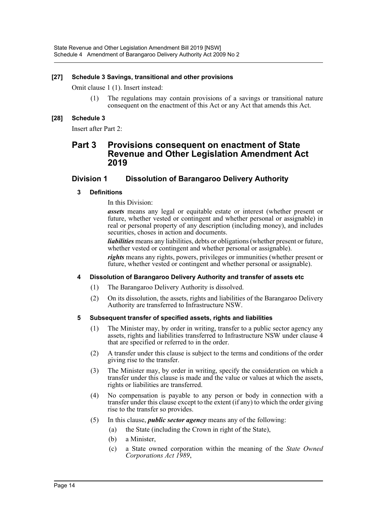#### **[27] Schedule 3 Savings, transitional and other provisions**

Omit clause 1 (1). Insert instead:

(1) The regulations may contain provisions of a savings or transitional nature consequent on the enactment of this Act or any Act that amends this Act.

#### **[28] Schedule 3**

Insert after Part 2:

## **Part 3 Provisions consequent on enactment of State Revenue and Other Legislation Amendment Act 2019**

#### **Division 1 Dissolution of Barangaroo Delivery Authority**

#### **3 Definitions**

In this Division:

*assets* means any legal or equitable estate or interest (whether present or future, whether vested or contingent and whether personal or assignable) in real or personal property of any description (including money), and includes securities, choses in action and documents.

*liabilities* means any liabilities, debts or obligations (whether present or future, whether vested or contingent and whether personal or assignable).

*rights* means any rights, powers, privileges or immunities (whether present or future, whether vested or contingent and whether personal or assignable).

#### **4 Dissolution of Barangaroo Delivery Authority and transfer of assets etc**

- (1) The Barangaroo Delivery Authority is dissolved.
- (2) On its dissolution, the assets, rights and liabilities of the Barangaroo Delivery Authority are transferred to Infrastructure NSW.

#### **5 Subsequent transfer of specified assets, rights and liabilities**

- (1) The Minister may, by order in writing, transfer to a public sector agency any assets, rights and liabilities transferred to Infrastructure NSW under clause 4 that are specified or referred to in the order.
- (2) A transfer under this clause is subject to the terms and conditions of the order giving rise to the transfer.
- (3) The Minister may, by order in writing, specify the consideration on which a transfer under this clause is made and the value or values at which the assets, rights or liabilities are transferred.
- (4) No compensation is payable to any person or body in connection with a transfer under this clause except to the extent (if any) to which the order giving rise to the transfer so provides.
- (5) In this clause, *public sector agency* means any of the following:
	- (a) the State (including the Crown in right of the State),
	- (b) a Minister,
	- (c) a State owned corporation within the meaning of the *State Owned Corporations Act 1989*,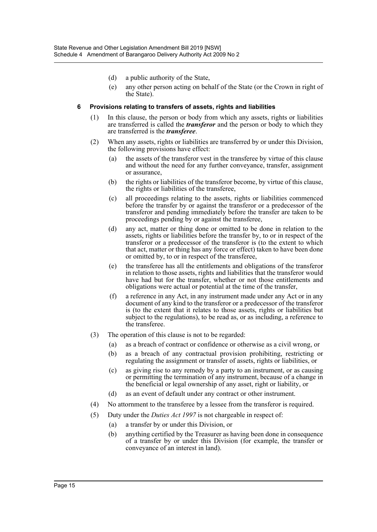- (d) a public authority of the State,
- (e) any other person acting on behalf of the State (or the Crown in right of the State).

#### **6 Provisions relating to transfers of assets, rights and liabilities**

- (1) In this clause, the person or body from which any assets, rights or liabilities are transferred is called the *transferor* and the person or body to which they are transferred is the *transferee*.
- (2) When any assets, rights or liabilities are transferred by or under this Division, the following provisions have effect:
	- (a) the assets of the transferor vest in the transferee by virtue of this clause and without the need for any further conveyance, transfer, assignment or assurance,
	- (b) the rights or liabilities of the transferor become, by virtue of this clause, the rights or liabilities of the transferee,
	- (c) all proceedings relating to the assets, rights or liabilities commenced before the transfer by or against the transferor or a predecessor of the transferor and pending immediately before the transfer are taken to be proceedings pending by or against the transferee,
	- (d) any act, matter or thing done or omitted to be done in relation to the assets, rights or liabilities before the transfer by, to or in respect of the transferor or a predecessor of the transferor is (to the extent to which that act, matter or thing has any force or effect) taken to have been done or omitted by, to or in respect of the transferee,
	- (e) the transferee has all the entitlements and obligations of the transferor in relation to those assets, rights and liabilities that the transferor would have had but for the transfer, whether or not those entitlements and obligations were actual or potential at the time of the transfer,
	- (f) a reference in any Act, in any instrument made under any Act or in any document of any kind to the transferor or a predecessor of the transferor is (to the extent that it relates to those assets, rights or liabilities but subject to the regulations), to be read as, or as including, a reference to the transferee.
- (3) The operation of this clause is not to be regarded:
	- (a) as a breach of contract or confidence or otherwise as a civil wrong, or
	- (b) as a breach of any contractual provision prohibiting, restricting or regulating the assignment or transfer of assets, rights or liabilities, or
	- (c) as giving rise to any remedy by a party to an instrument, or as causing or permitting the termination of any instrument, because of a change in the beneficial or legal ownership of any asset, right or liability, or
	- (d) as an event of default under any contract or other instrument.
- (4) No attornment to the transferee by a lessee from the transferor is required.
- (5) Duty under the *Duties Act 1997* is not chargeable in respect of:
	- (a) a transfer by or under this Division, or
	- (b) anything certified by the Treasurer as having been done in consequence of a transfer by or under this Division (for example, the transfer or conveyance of an interest in land).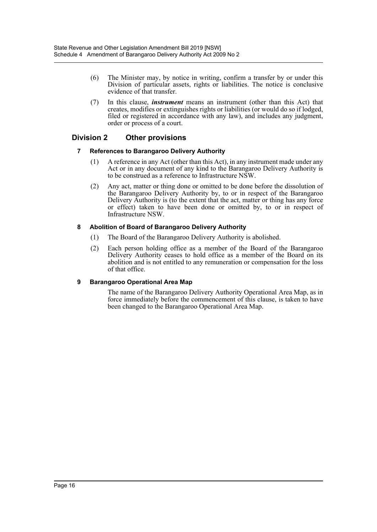- (6) The Minister may, by notice in writing, confirm a transfer by or under this Division of particular assets, rights or liabilities. The notice is conclusive evidence of that transfer.
- (7) In this clause, *instrument* means an instrument (other than this Act) that creates, modifies or extinguishes rights or liabilities (or would do so if lodged, filed or registered in accordance with any law), and includes any judgment, order or process of a court.

## **Division 2 Other provisions**

#### **7 References to Barangaroo Delivery Authority**

- (1) A reference in any Act (other than this Act), in any instrument made under any Act or in any document of any kind to the Barangaroo Delivery Authority is to be construed as a reference to Infrastructure NSW.
- (2) Any act, matter or thing done or omitted to be done before the dissolution of the Barangaroo Delivery Authority by, to or in respect of the Barangaroo Delivery Authority is (to the extent that the act, matter or thing has any force or effect) taken to have been done or omitted by, to or in respect of Infrastructure NSW.

#### **8 Abolition of Board of Barangaroo Delivery Authority**

- (1) The Board of the Barangaroo Delivery Authority is abolished.
- (2) Each person holding office as a member of the Board of the Barangaroo Delivery Authority ceases to hold office as a member of the Board on its abolition and is not entitled to any remuneration or compensation for the loss of that office.

#### **9 Barangaroo Operational Area Map**

The name of the Barangaroo Delivery Authority Operational Area Map, as in force immediately before the commencement of this clause, is taken to have been changed to the Barangaroo Operational Area Map.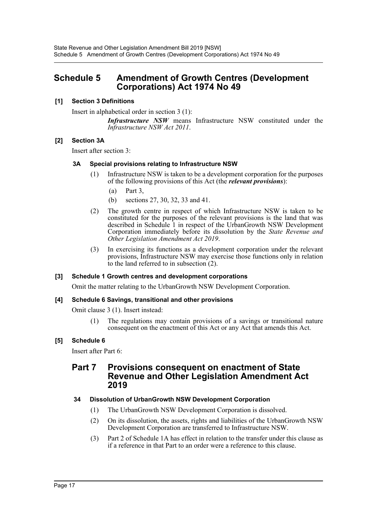## <span id="page-17-0"></span>**Schedule 5 Amendment of Growth Centres (Development Corporations) Act 1974 No 49**

#### **[1] Section 3 Definitions**

Insert in alphabetical order in section 3 (1):

*Infrastructure NSW* means Infrastructure NSW constituted under the *Infrastructure NSW Act 2011*.

#### **[2] Section 3A**

Insert after section 3:

#### **3A Special provisions relating to Infrastructure NSW**

- (1) Infrastructure NSW is taken to be a development corporation for the purposes of the following provisions of this Act (the *relevant provisions*):
	- (a) Part 3,
	- (b) sections 27, 30, 32, 33 and 41.
- (2) The growth centre in respect of which Infrastructure NSW is taken to be constituted for the purposes of the relevant provisions is the land that was described in Schedule 1 in respect of the UrbanGrowth NSW Development Corporation immediately before its dissolution by the *State Revenue and Other Legislation Amendment Act 2019*.
- (3) In exercising its functions as a development corporation under the relevant provisions, Infrastructure NSW may exercise those functions only in relation to the land referred to in subsection (2).

#### **[3] Schedule 1 Growth centres and development corporations**

Omit the matter relating to the UrbanGrowth NSW Development Corporation.

#### **[4] Schedule 6 Savings, transitional and other provisions**

Omit clause 3 (1). Insert instead:

(1) The regulations may contain provisions of a savings or transitional nature consequent on the enactment of this Act or any Act that amends this Act.

#### **[5] Schedule 6**

Insert after Part 6:

## **Part 7 Provisions consequent on enactment of State Revenue and Other Legislation Amendment Act 2019**

#### **34 Dissolution of UrbanGrowth NSW Development Corporation**

- (1) The UrbanGrowth NSW Development Corporation is dissolved.
- (2) On its dissolution, the assets, rights and liabilities of the UrbanGrowth NSW Development Corporation are transferred to Infrastructure NSW.
- (3) Part 2 of Schedule 1A has effect in relation to the transfer under this clause as if a reference in that Part to an order were a reference to this clause.